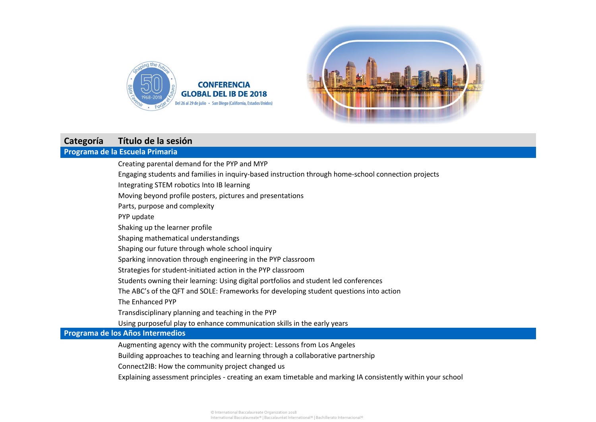



# **Categoría Título de la sesión**

## **Programa de la Escuela Primaria**

Creating parental demand for the PYP and MYP Engaging students and families in inquiry-based instruction through home-school connection projects Integrating STEM robotics Into IB learning Moving beyond profile posters, pictures and presentations Parts, purpose and complexity PYP update Shaking up the learner profile Shaping mathematical understandings Shaping our future through whole school inquiry Sparking innovation through engineering in the PYP classroom Strategies for student-initiated action in the PYP classroom Students owning their learning: Using digital portfolios and student led conferences The ABC's of the QFT and SOLE: Frameworks for developing student questions into action The Enhanced PYP Transdisciplinary planning and teaching in the PYP Using purposeful play to enhance communication skills in the early years

### **Programa de los Años Intermedios**

Augmenting agency with the community project: Lessons from Los Angeles

Building approaches to teaching and learning through a collaborative partnership

Connect2IB: How the community project changed us

Explaining assessment principles - creating an exam timetable and marking IA consistently within your school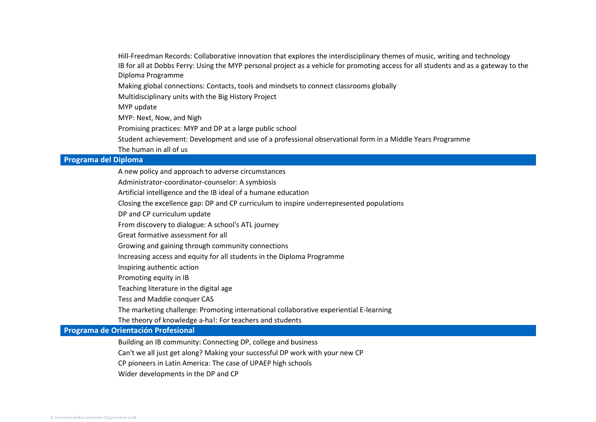Hill-Freedman Records: Collaborative innovation that explores the interdisciplinary themes of music, writing and technology IB for all at Dobbs Ferry: Using the MYP personal project as a vehicle for promoting access for all students and as a gateway to the Diploma Programme

Making global connections: Contacts, tools and mindsets to connect classrooms globally

Multidisciplinary units with the Big History Project

MYP update

MYP: Next, Now, and Nigh

Promising practices: MYP and DP at a large public school

Student achievement: Development and use of a professional observational form in a Middle Years Programme

The human in all of us

### **Programa del Diploma**

A new policy and approach to adverse circumstances

Administrator-coordinator-counselor: A symbiosis

Artificial intelligence and the IB ideal of a humane education

Closing the excellence gap: DP and CP curriculum to inspire underrepresented populations

DP and CP curriculum update

From discovery to dialogue: A school's ATL journey

Great formative assessment for all

Growing and gaining through community connections

Increasing access and equity for all students in the Diploma Programme

Inspiring authentic action

Promoting equity in IB

Teaching literature in the digital age

Tess and Maddie conquer CAS

The marketing challenge: Promoting international collaborative experiential E-learning

The theory of knowledge a-ha!: For teachers and students

**Programa de Orientación Profesional**

Building an IB community: Connecting DP, college and business

Can't we all just get along? Making your successful DP work with your new CP

CP pioneers in Latin America: The case of UPAEP high schools

Wider developments in the DP and CP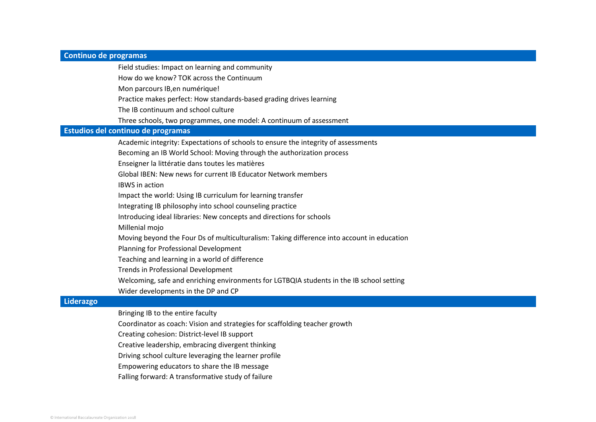#### **Continuo de programas**

Field studies: Impact on learning and community

How do we know? TOK across the Continuum

Mon parcours IB,en numérique!

Practice makes perfect: How standards-based grading drives learning

The IB continuum and school culture

Three schools, two programmes, one model: A continuum of assessment

#### **Estudios del continuo de programas**

Academic integrity: Expectations of schools to ensure the integrity of assessments

Becoming an IB World School: Moving through the authorization process

Enseigner la littératie dans toutes les matières

Global IBEN: New news for current IB Educator Network members

IBWS in action

Impact the world: Using IB curriculum for learning transfer

Integrating IB philosophy into school counseling practice

Introducing ideal libraries: New concepts and directions for schools

Millenial mojo

Moving beyond the Four Ds of multiculturalism: Taking difference into account in education

Planning for Professional Development

Teaching and learning in a world of difference

Trends in Professional Development

Welcoming, safe and enriching environments for LGTBQIA students in the IB school setting

Wider developments in the DP and CP

#### **Liderazgo**

Bringing IB to the entire faculty

Coordinator as coach: Vision and strategies for scaffolding teacher growth

Creating cohesion: District-level IB support

Creative leadership, embracing divergent thinking

Driving school culture leveraging the learner profile

Empowering educators to share the IB message

Falling forward: A transformative study of failure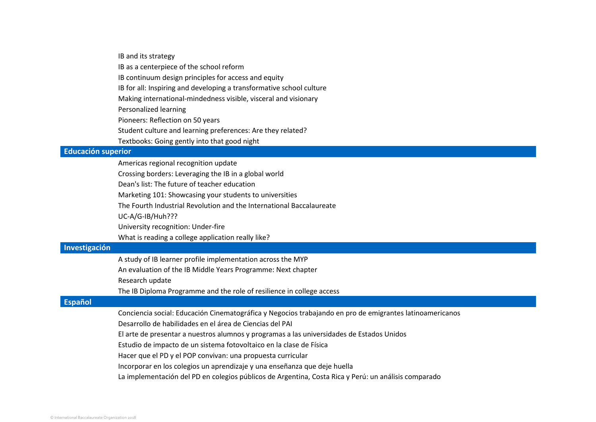|                           | IB and its strategy                                                                                      |
|---------------------------|----------------------------------------------------------------------------------------------------------|
|                           | IB as a centerpiece of the school reform                                                                 |
|                           | IB continuum design principles for access and equity                                                     |
|                           | IB for all: Inspiring and developing a transformative school culture                                     |
|                           | Making international-mindedness visible, visceral and visionary                                          |
|                           | Personalized learning                                                                                    |
|                           | Pioneers: Reflection on 50 years                                                                         |
|                           | Student culture and learning preferences: Are they related?                                              |
|                           | Textbooks: Going gently into that good night                                                             |
| <b>Educación superior</b> |                                                                                                          |
|                           | Americas regional recognition update                                                                     |
|                           | Crossing borders: Leveraging the IB in a global world                                                    |
|                           | Dean's list: The future of teacher education                                                             |
|                           | Marketing 101: Showcasing your students to universities                                                  |
|                           | The Fourth Industrial Revolution and the International Baccalaureate                                     |
|                           | UC-A/G-IB/Huh???                                                                                         |
|                           | University recognition: Under-fire                                                                       |
|                           | What is reading a college application really like?                                                       |
| Investigación             |                                                                                                          |
|                           | A study of IB learner profile implementation across the MYP                                              |
|                           | An evaluation of the IB Middle Years Programme: Next chapter                                             |
|                           | Research update                                                                                          |
|                           | The IB Diploma Programme and the role of resilience in college access                                    |
| <b>Español</b>            |                                                                                                          |
|                           | Conciencia social: Educación Cinematográfica y Negocios trabajando en pro de emigrantes latinoamericanos |
|                           | Desarrollo de habilidades en el área de Ciencias del PAI                                                 |
|                           | El arte de presentar a nuestros alumnos y programas a las universidades de Estados Unidos                |
|                           | Estudio de impacto de un sistema fotovoltaico en la clase de Física                                      |
|                           | Hacer que el PD y el POP convivan: una propuesta curricular                                              |
|                           | Incorporar en los colegios un aprendizaje y una enseñanza que deje huella                                |
|                           | La implementación del PD en colegios públicos de Argentina, Costa Rica y Perú: un análisis comparado     |
|                           |                                                                                                          |